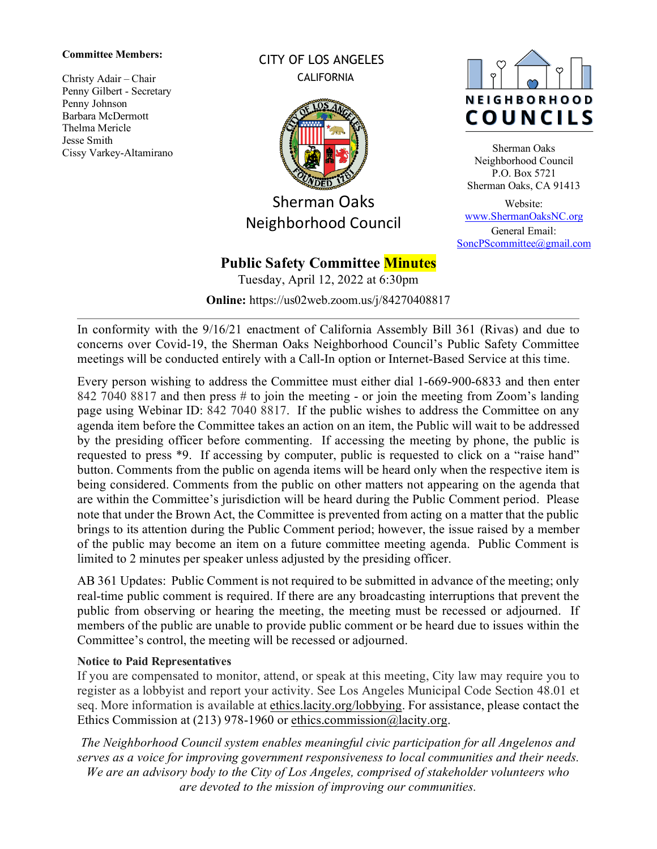#### **Committee Members:**

Christy Adair – Chair Penny Gilbert - Secretary Penny Johnson Barbara McDermott Thelma Mericle Jesse Smith Cissy Varkey-Altamirano CITY OF LOS ANGELES **CALIFORNIA** 



Sherman Oaks Neighborhood Council

# NEIGHBORHOOD COUNCILS

Sherman Oaks Neighborhood Council P.O. Box 5721 Sherman Oaks, CA 91413

Website: [www.ShermanOaksNC.org](http://www.shermanoaksnc.org/) General Email: [SoncPScommittee@gmail.com](mailto:SoncPScommittee@gmail.com)

## **Public Safety Committee Minutes**

Tuesday, April 12, 2022 at 6:30pm

**Online:** <https://us02web.zoom.us/j/84270408817>

In conformity with the 9/16/21 enactment of California Assembly Bill 361 (Rivas) and due to concerns over Covid-19, the Sherman Oaks Neighborhood Council's Public Safety Committee meetings will be conducted entirely with a Call-In option or Internet-Based Service at this time.

Every person wishing to address the Committee must either dial 1-669-900-6833 and then enter 842 7040 8817 and then press # to join the meeting - or join the meeting from Zoom's landing page using Webinar ID: 842 7040 8817. If the public wishes to address the Committee on any agenda item before the Committee takes an action on an item, the Public will wait to be addressed by the presiding officer before commenting. If accessing the meeting by phone, the public is requested to press \*9. If accessing by computer, public is requested to click on a "raise hand" button. Comments from the public on agenda items will be heard only when the respective item is being considered. Comments from the public on other matters not appearing on the agenda that are within the Committee's jurisdiction will be heard during the Public Comment period. Please note that under the Brown Act, the Committee is prevented from acting on a matter that the public brings to its attention during the Public Comment period; however, the issue raised by a member of the public may become an item on a future committee meeting agenda. Public Comment is limited to 2 minutes per speaker unless adjusted by the presiding officer.

AB 361 Updates: Public Comment is not required to be submitted in advance of the meeting; only real-time public comment is required. If there are any broadcasting interruptions that prevent the public from observing or hearing the meeting, the meeting must be recessed or adjourned. If members of the public are unable to provide public comment or be heard due to issues within the Committee's control, the meeting will be recessed or adjourned.

#### **Notice to Paid Representatives**

If you are compensated to monitor, attend, or speak at this meeting, City law may require you to register as a lobbyist and report your activity. See Los Angeles Municipal Code Section 48.01 et seq. More information is available at [ethics.lacity.org/lobbying.](http://ethics.lacity.org/lobbying) For assistance, please contact the Ethics Commission at (213) 978-1960 or [ethics.commission@lacity.org.](mailto:ethics.commission@lacity.org)

*The Neighborhood Council system enables meaningful civic participation for all Angelenos and serves as a voice for improving government responsiveness to local communities and their needs. We are an advisory body to the City of Los Angeles, comprised of stakeholder volunteers who are devoted to the mission of improving our communities.*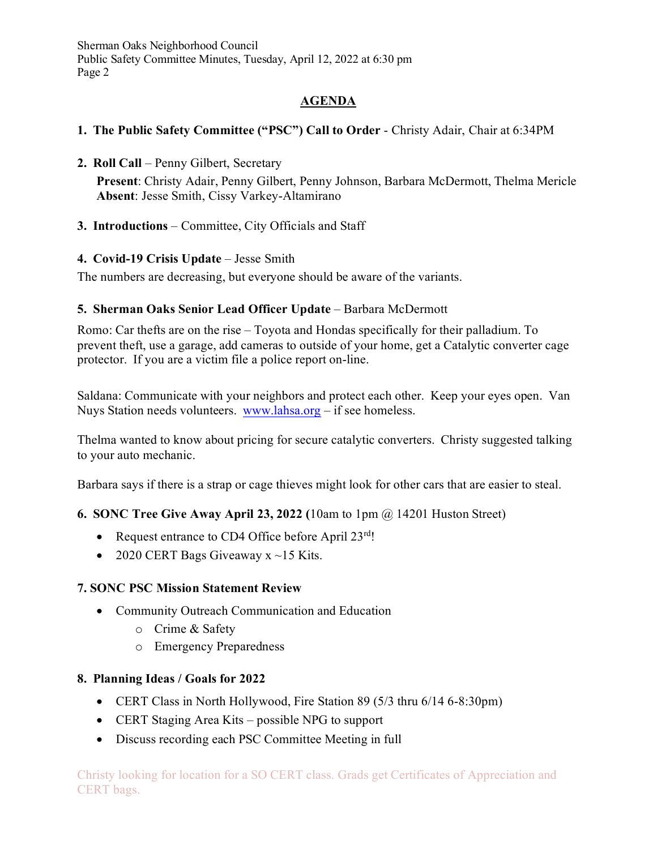## **AGENDA**

## **1. The Public Safety Committee ("PSC") Call to Order** - Christy Adair, Chair at 6:34PM

- **2. Roll Call** Penny Gilbert, Secretary **Present**: Christy Adair, Penny Gilbert, Penny Johnson, Barbara McDermott, Thelma Mericle **Absent**: Jesse Smith, Cissy Varkey-Altamirano
- **3. Introductions** Committee, City Officials and Staff

#### **4. Covid-19 Crisis Update** – Jesse Smith

The numbers are decreasing, but everyone should be aware of the variants.

## **5. Sherman Oaks Senior Lead Officer Update** – Barbara McDermott

Romo: Car thefts are on the rise – Toyota and Hondas specifically for their palladium. To prevent theft, use a garage, add cameras to outside of your home, get a Catalytic converter cage protector. If you are a victim file a police report on-line.

Saldana: Communicate with your neighbors and protect each other. Keep your eyes open. Van Nuys Station needs volunteers. [www.lahsa.org](http://www.lahsa.org/) – if see homeless.

Thelma wanted to know about pricing for secure catalytic converters. Christy suggested talking to your auto mechanic.

Barbara says if there is a strap or cage thieves might look for other cars that are easier to steal.

#### **6. SONC Tree Give Away April 23, 2022 (**10am to 1pm @ 14201 Huston Street)

- Request entrance to CD4 Office before April 23rd!
- 2020 CERT Bags Giveaway  $x \sim 15$  Kits.

#### **7. SONC PSC Mission Statement Review**

- Community Outreach Communication and Education
	- o Crime & Safety
	- o Emergency Preparedness

#### **8. Planning Ideas / Goals for 2022**

- CERT Class in North Hollywood, Fire Station 89 (5/3 thru 6/14 6-8:30pm)
- CERT Staging Area Kits possible NPG to support
- Discuss recording each PSC Committee Meeting in full

Christy looking for location for a SO CERT class. Grads get Certificates of Appreciation and CERT bags.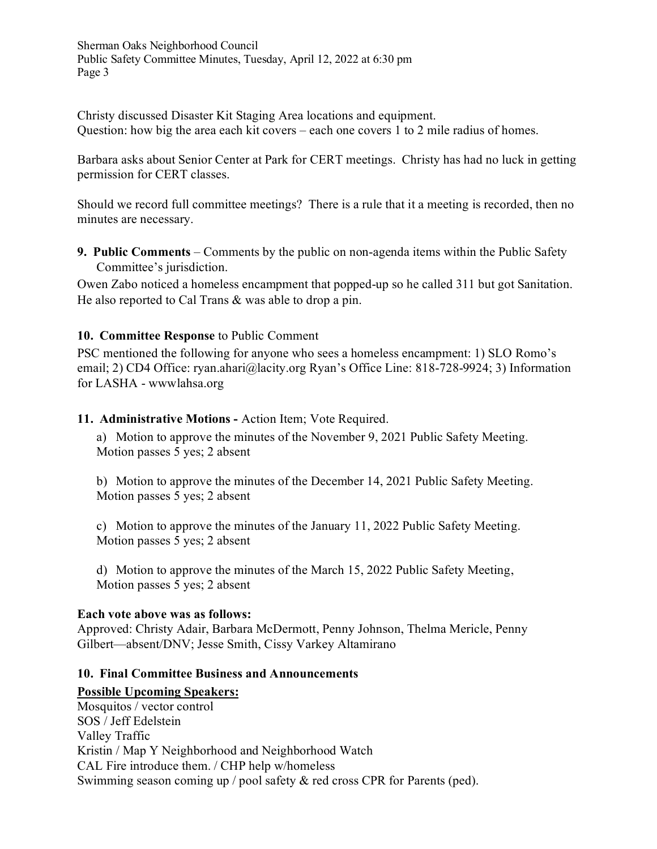Christy discussed Disaster Kit Staging Area locations and equipment. Question: how big the area each kit covers – each one covers 1 to 2 mile radius of homes.

Barbara asks about Senior Center at Park for CERT meetings. Christy has had no luck in getting permission for CERT classes.

Should we record full committee meetings? There is a rule that it a meeting is recorded, then no minutes are necessary.

**9. Public Comments** – Comments by the public on non-agenda items within the Public Safety Committee's jurisdiction.

Owen Zabo noticed a homeless encampment that popped-up so he called 311 but got Sanitation. He also reported to Cal Trans & was able to drop a pin.

#### **10. Committee Response** to Public Comment

PSC mentioned the following for anyone who sees a homeless encampment: 1) SLO Romo's email; 2) CD4 Office: [ryan.ahari@lacity.org](mailto:ryan.ahari@lacity.org) Ryan's Office Line: 818-728-9924; 3) Information for LASHA - wwwlahsa.org

#### **11. Administrative Motions -** Action Item; Vote Required.

a) Motion to approve the minutes of the November 9, 2021 Public Safety Meeting. Motion passes 5 yes; 2 absent

b) Motion to approve the minutes of the December 14, 2021 Public Safety Meeting. Motion passes 5 yes; 2 absent

c) Motion to approve the minutes of the January 11, 2022 Public Safety Meeting. Motion passes 5 yes; 2 absent

d) Motion to approve the minutes of the March 15, 2022 Public Safety Meeting, Motion passes 5 yes; 2 absent

#### **Each vote above was as follows:**

Approved: Christy Adair, Barbara McDermott, Penny Johnson, Thelma Mericle, Penny Gilbert—absent/DNV; Jesse Smith, Cissy Varkey Altamirano

#### **10. Final Committee Business and Announcements**

#### **Possible Upcoming Speakers:**

Mosquitos / vector control SOS / Jeff Edelstein Valley Traffic Kristin / Map Y Neighborhood and Neighborhood Watch CAL Fire introduce them. / CHP help w/homeless Swimming season coming up / pool safety & red cross CPR for Parents (ped).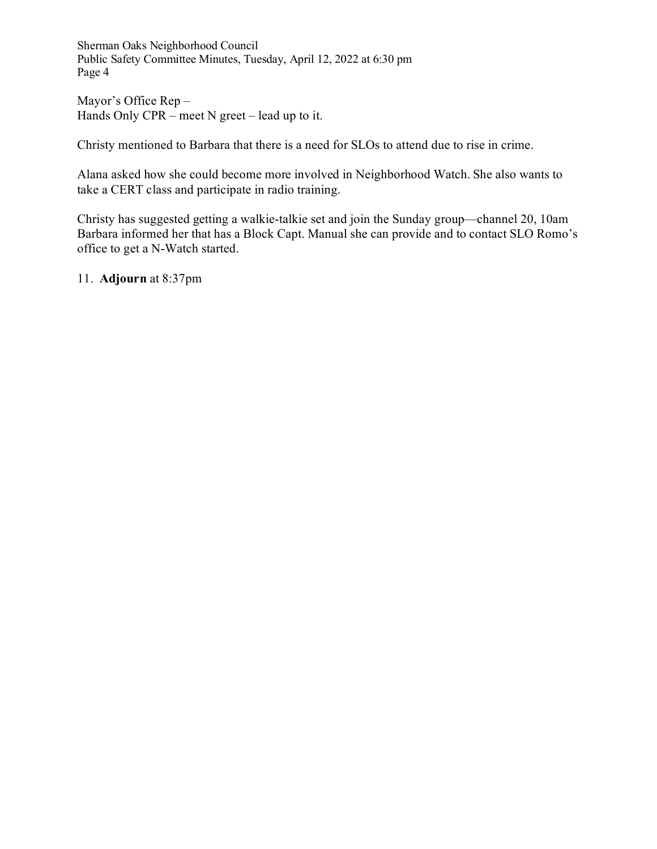Mayor's Office Rep – Hands Only CPR – meet N greet – lead up to it.

Christy mentioned to Barbara that there is a need for SLOs to attend due to rise in crime.

Alana asked how she could become more involved in Neighborhood Watch. She also wants to take a CERT class and participate in radio training.

Christy has suggested getting a walkie-talkie set and join the Sunday group—channel 20, 10am Barbara informed her that has a Block Capt. Manual she can provide and to contact SLO Romo's office to get a N-Watch started.

11. **Adjourn** at 8:37pm